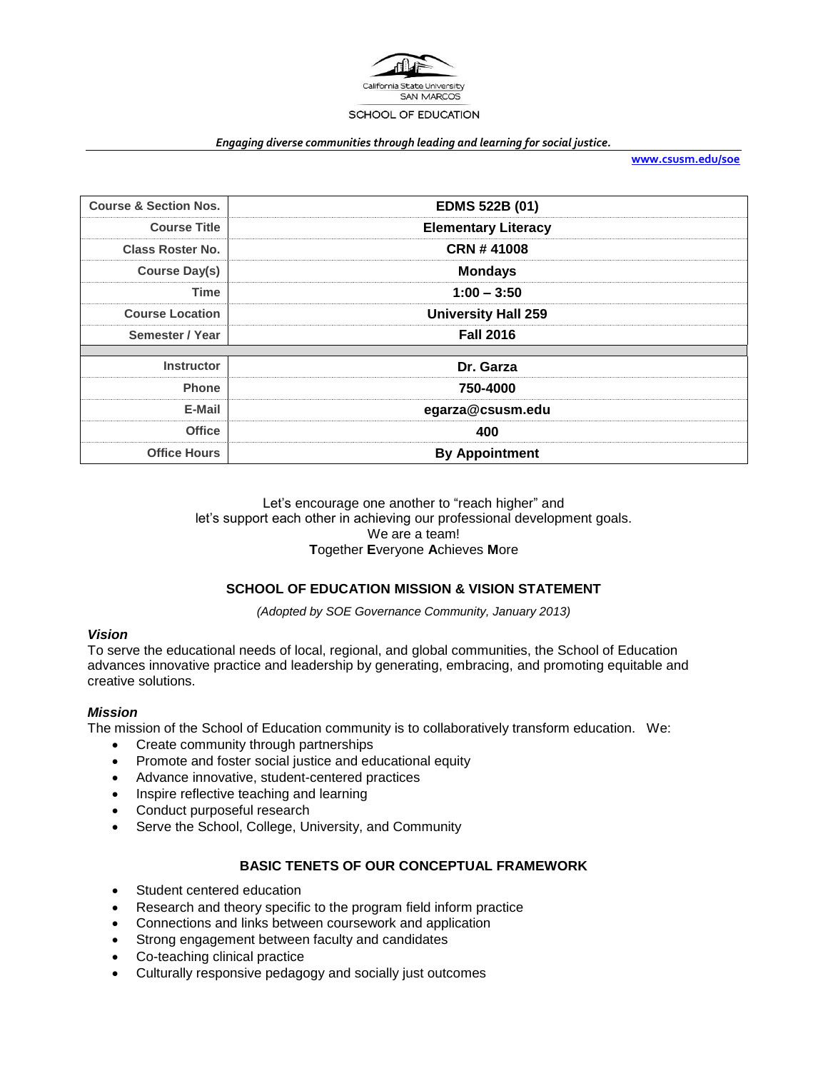

#### *Engaging diverse communities through leading and learning for social justice.*

**[www.csusm.edu/soe](http://www.csusm.edu/soe)**

| <b>Course &amp; Section Nos.</b> | <b>EDMS 522B (01)</b>      |  |
|----------------------------------|----------------------------|--|
| <b>Course Title</b>              | <b>Elementary Literacy</b> |  |
| <b>Class Roster No.</b>          | <b>CRN #41008</b>          |  |
| Course Day(s)                    | <b>Mondays</b>             |  |
| <b>Time</b>                      | $1:00 - 3:50$              |  |
| <b>Course Location</b>           | <b>University Hall 259</b> |  |
| Semester / Year                  | <b>Fall 2016</b>           |  |
|                                  |                            |  |
| <b>Instructor</b>                | Dr. Garza                  |  |
| <b>Phone</b>                     | 750-4000                   |  |
| E-Mail                           | egarza@csusm.edu           |  |
| <b>Office</b>                    | 400                        |  |
| <b>Office Hours</b>              | <b>By Appointment</b>      |  |

### Let's encourage one another to "reach higher" and let's support each other in achieving our professional development goals. We are a team! **T**ogether **E**veryone **A**chieves **M**ore

# **SCHOOL OF EDUCATION MISSION & VISION STATEMENT**

*(Adopted by SOE Governance Community, January 2013)*

### *Vision*

To serve the educational needs of local, regional, and global communities, the School of Education advances innovative practice and leadership by generating, embracing, and promoting equitable and creative solutions.

### *Mission*

The mission of the School of Education community is to collaboratively transform education. We:

- Create community through partnerships
- Promote and foster social justice and educational equity
- Advance innovative, student-centered practices
- Inspire reflective teaching and learning
- Conduct purposeful research
- Serve the School, College, University, and Community

# **BASIC TENETS OF OUR CONCEPTUAL FRAMEWORK**

- Student centered education
- Research and theory specific to the program field inform practice
- Connections and links between coursework and application
- Strong engagement between faculty and candidates
- Co-teaching clinical practice
- Culturally responsive pedagogy and socially just outcomes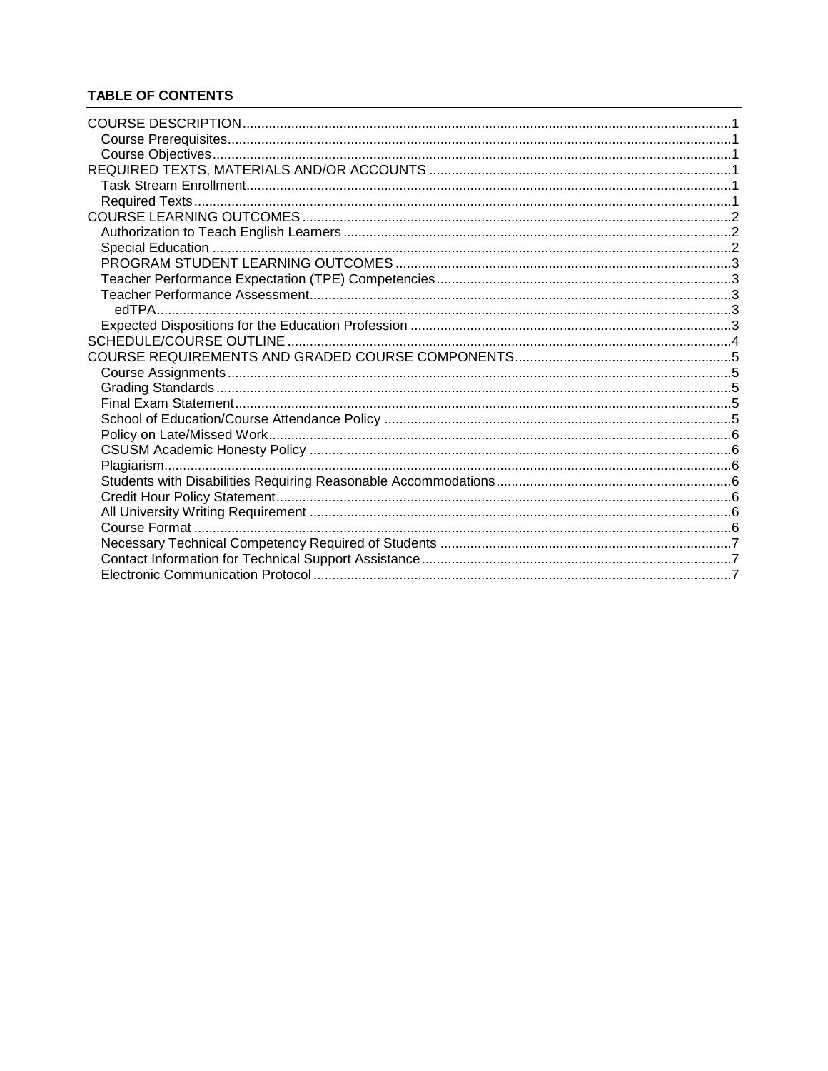# **TABLE OF CONTENTS**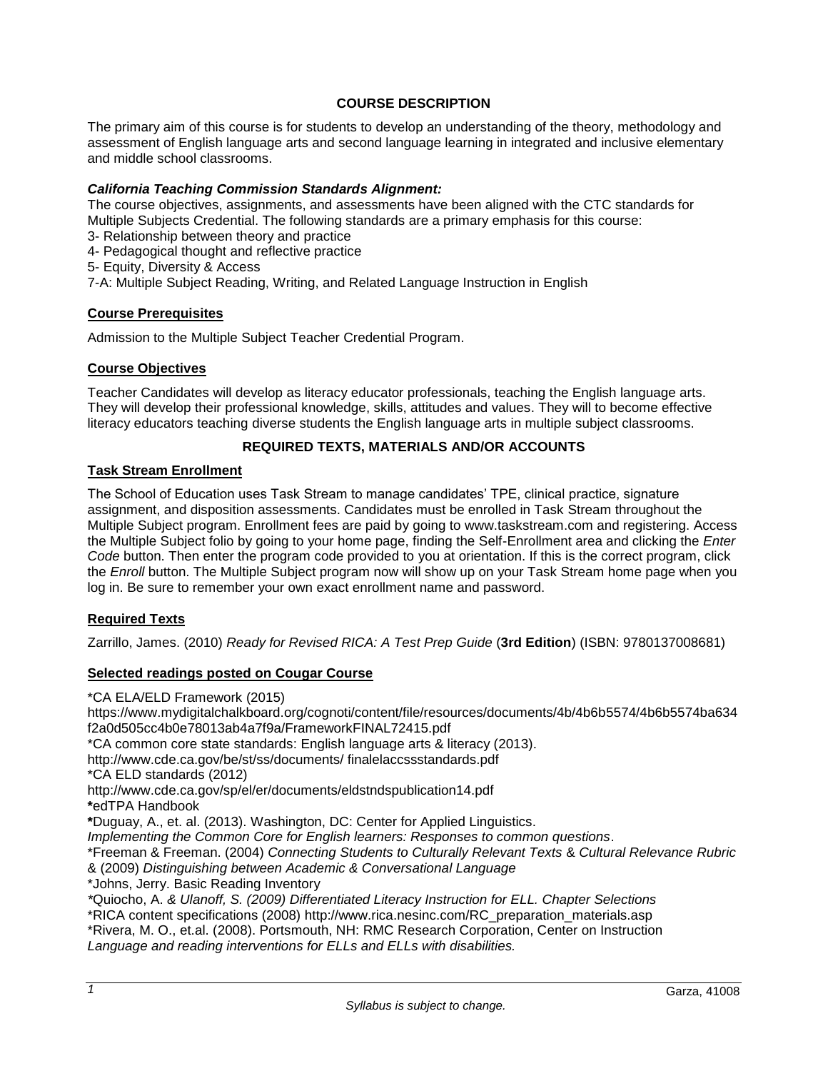# **COURSE DESCRIPTION**

<span id="page-2-0"></span>The primary aim of this course is for students to develop an understanding of the theory, methodology and assessment of English language arts and second language learning in integrated and inclusive elementary and middle school classrooms.

## *California Teaching Commission Standards Alignment:*

The course objectives, assignments, and assessments have been aligned with the CTC standards for Multiple Subjects Credential. The following standards are a primary emphasis for this course:

- 3- Relationship between theory and practice
- 4- Pedagogical thought and reflective practice
- 5- Equity, Diversity & Access

7-A: Multiple Subject Reading, Writing, and Related Language Instruction in English

### <span id="page-2-1"></span>**Course Prerequisites**

Admission to the Multiple Subject Teacher Credential Program.

## <span id="page-2-2"></span>**Course Objectives**

Teacher Candidates will develop as literacy educator professionals, teaching the English language arts. They will develop their professional knowledge, skills, attitudes and values. They will to become effective literacy educators teaching diverse students the English language arts in multiple subject classrooms.

# **REQUIRED TEXTS, MATERIALS AND/OR ACCOUNTS**

## <span id="page-2-4"></span><span id="page-2-3"></span>**Task Stream Enrollment**

The School of Education uses Task Stream to manage candidates' TPE, clinical practice, signature assignment, and disposition assessments. Candidates must be enrolled in Task Stream throughout the Multiple Subject program. Enrollment fees are paid by going to www.taskstream.com and registering. Access the Multiple Subject folio by going to your home page, finding the Self-Enrollment area and clicking the *Enter Code* button. Then enter the program code provided to you at orientation. If this is the correct program, click the *Enroll* button. The Multiple Subject program now will show up on your Task Stream home page when you log in. Be sure to remember your own exact enrollment name and password.

### <span id="page-2-5"></span>**Required Texts**

Zarrillo, James. (2010) *Ready for Revised RICA: A Test Prep Guide* (**3rd Edition**) (ISBN: 9780137008681)

# **Selected readings posted on Cougar Course**

\*CA ELA/ELD Framework (2015)

https://www.mydigitalchalkboard.org/cognoti/content/file/resources/documents/4b/4b6b5574/4b6b5574ba634 f2a0d505cc4b0e78013ab4a7f9a/FrameworkFINAL72415.pdf \*CA common core state standards: English language arts & literacy (2013). http://www.cde.ca.gov/be/st/ss/documents/ finalelaccssstandards.pdf \*CA ELD standards (2012) http://www.cde.ca.gov/sp/el/er/documents/eldstndspublication14.pdf **\***edTPA Handbook **\***Duguay, A., et. al. (2013). Washington, DC: Center for Applied Linguistics. *Implementing the Common Core for English learners: Responses to common questions*. \*Freeman & Freeman. (2004) *Connecting Students to Culturally Relevant Texts* & *Cultural Relevance Rubric* & (2009) *Distinguishing between Academic & Conversational Language* \*Johns, Jerry. Basic Reading Inventory *\**Quiocho, A. *& Ulanoff, S. (2009) Differentiated Literacy Instruction for ELL. Chapter Selections*  \*RICA content specifications (2008) http://www.rica.nesinc.com/RC\_preparation\_materials.asp \*Rivera, M. O., et.al. (2008). Portsmouth, NH: RMC Research Corporation, Center on Instruction *Language and reading interventions for ELLs and ELLs with disabilities.*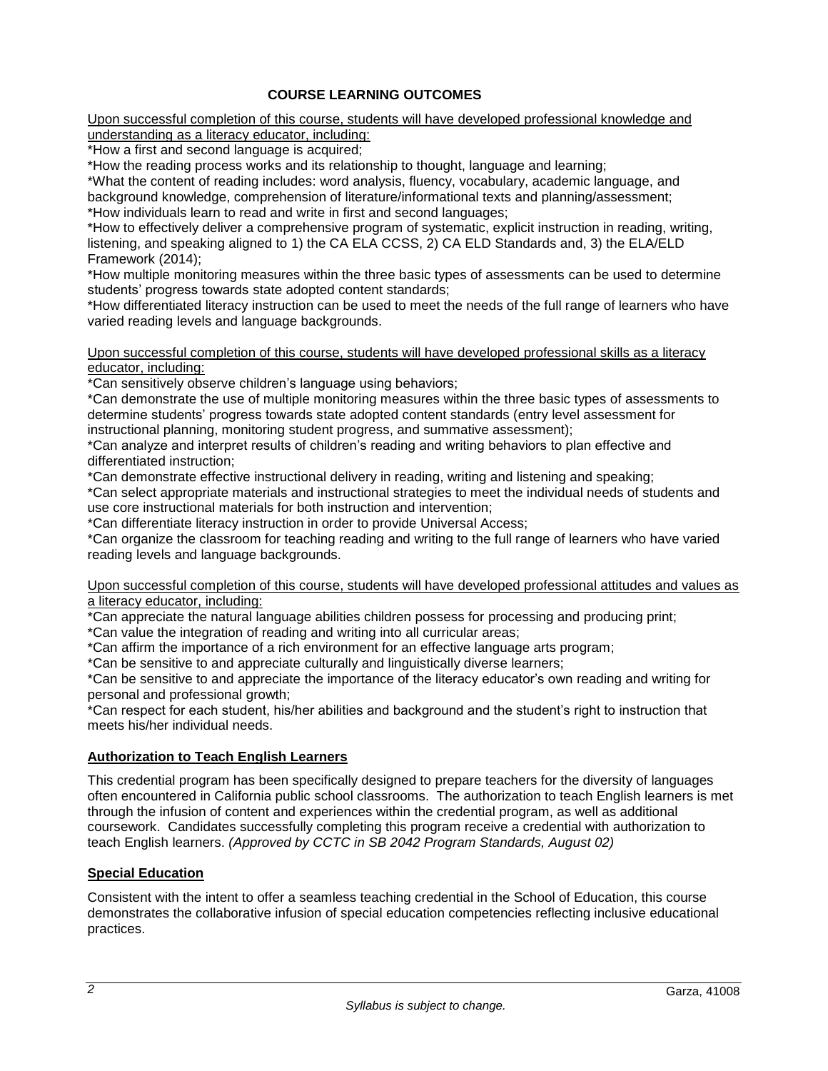# **COURSE LEARNING OUTCOMES**

<span id="page-3-0"></span>Upon successful completion of this course, students will have developed professional knowledge and understanding as a literacy educator, including:

\*How a first and second language is acquired;

\*How the reading process works and its relationship to thought, language and learning;

\*What the content of reading includes: word analysis, fluency, vocabulary, academic language, and background knowledge, comprehension of literature/informational texts and planning/assessment; \*How individuals learn to read and write in first and second languages;

\*How to effectively deliver a comprehensive program of systematic, explicit instruction in reading, writing, listening, and speaking aligned to 1) the CA ELA CCSS, 2) CA ELD Standards and, 3) the ELA/ELD Framework (2014);

\*How multiple monitoring measures within the three basic types of assessments can be used to determine students' progress towards state adopted content standards;

\*How differentiated literacy instruction can be used to meet the needs of the full range of learners who have varied reading levels and language backgrounds.

Upon successful completion of this course, students will have developed professional skills as a literacy educator, including:

\*Can sensitively observe children's language using behaviors;

\*Can demonstrate the use of multiple monitoring measures within the three basic types of assessments to determine students' progress towards state adopted content standards (entry level assessment for instructional planning, monitoring student progress, and summative assessment);

\*Can analyze and interpret results of children's reading and writing behaviors to plan effective and differentiated instruction;

\*Can demonstrate effective instructional delivery in reading, writing and listening and speaking;

\*Can select appropriate materials and instructional strategies to meet the individual needs of students and use core instructional materials for both instruction and intervention;

\*Can differentiate literacy instruction in order to provide Universal Access;

\*Can organize the classroom for teaching reading and writing to the full range of learners who have varied reading levels and language backgrounds.

### Upon successful completion of this course, students will have developed professional attitudes and values as a literacy educator, including:

\*Can appreciate the natural language abilities children possess for processing and producing print;

\*Can value the integration of reading and writing into all curricular areas;

\*Can affirm the importance of a rich environment for an effective language arts program;

\*Can be sensitive to and appreciate culturally and linguistically diverse learners;

\*Can be sensitive to and appreciate the importance of the literacy educator's own reading and writing for personal and professional growth;

\*Can respect for each student, his/her abilities and background and the student's right to instruction that meets his/her individual needs.

# <span id="page-3-1"></span>**Authorization to Teach English Learners**

This credential program has been specifically designed to prepare teachers for the diversity of languages often encountered in California public school classrooms. The authorization to teach English learners is met through the infusion of content and experiences within the credential program, as well as additional coursework. Candidates successfully completing this program receive a credential with authorization to teach English learners. *(Approved by CCTC in SB 2042 Program Standards, August 02)*

# <span id="page-3-2"></span>**Special Education**

Consistent with the intent to offer a seamless teaching credential in the School of Education, this course demonstrates the collaborative infusion of special education competencies reflecting inclusive educational practices.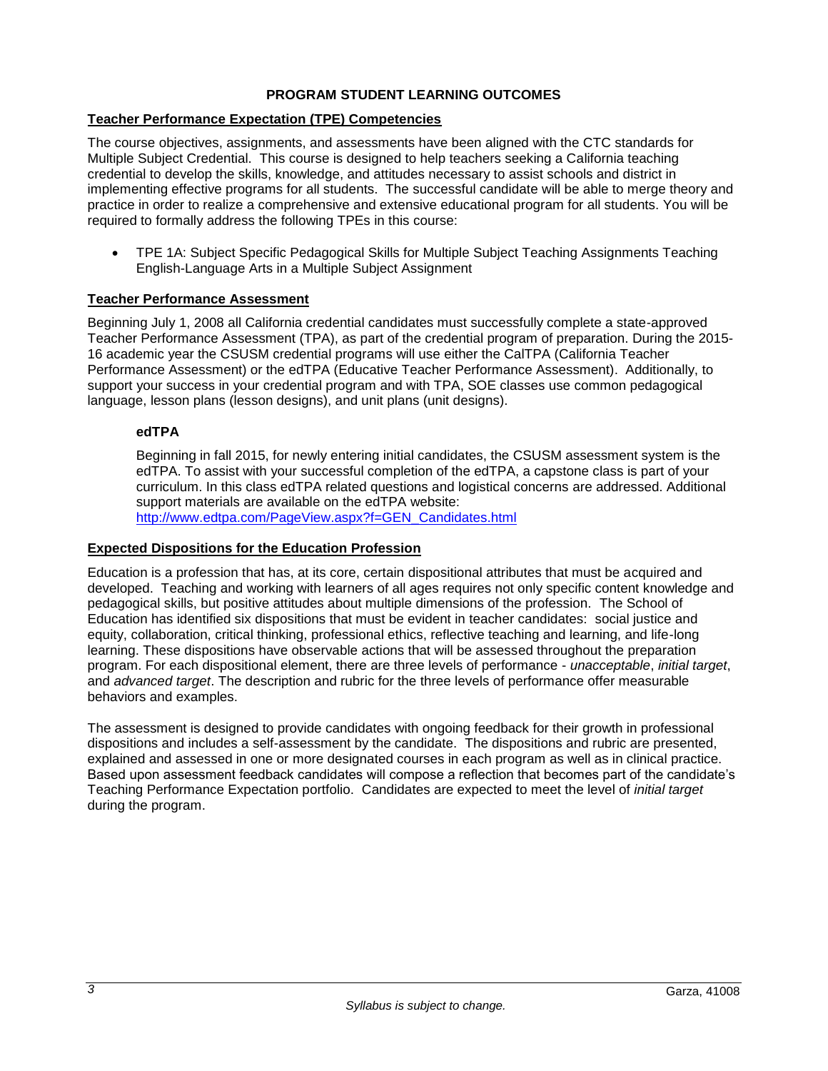# **PROGRAM STUDENT LEARNING OUTCOMES**

# <span id="page-4-1"></span><span id="page-4-0"></span>**Teacher Performance Expectation (TPE) Competencies**

The course objectives, assignments, and assessments have been aligned with the CTC standards for Multiple Subject Credential. This course is designed to help teachers seeking a California teaching credential to develop the skills, knowledge, and attitudes necessary to assist schools and district in implementing effective programs for all students. The successful candidate will be able to merge theory and practice in order to realize a comprehensive and extensive educational program for all students. You will be required to formally address the following TPEs in this course:

 TPE 1A: Subject Specific Pedagogical Skills for Multiple Subject Teaching Assignments Teaching English-Language Arts in a Multiple Subject Assignment

## <span id="page-4-2"></span>**Teacher Performance Assessment**

Beginning July 1, 2008 all California credential candidates must successfully complete a state-approved Teacher Performance Assessment (TPA), as part of the credential program of preparation. During the 2015- 16 academic year the CSUSM credential programs will use either the CalTPA (California Teacher Performance Assessment) or the edTPA (Educative Teacher Performance Assessment). Additionally, to support your success in your credential program and with TPA, SOE classes use common pedagogical language, lesson plans (lesson designs), and unit plans (unit designs).

## <span id="page-4-3"></span>**edTPA**

Beginning in fall 2015, for newly entering initial candidates, the CSUSM assessment system is the edTPA. To assist with your successful completion of the edTPA, a capstone class is part of your curriculum. In this class edTPA related questions and logistical concerns are addressed. Additional support materials are available on the edTPA website: [http://www.edtpa.com/PageView.aspx?f=GEN\\_Candidates.html](http://www.edtpa.com/PageView.aspx?f=GEN_Candidates.html)

### <span id="page-4-4"></span>**Expected Dispositions for the Education Profession**

Education is a profession that has, at its core, certain dispositional attributes that must be acquired and developed. Teaching and working with learners of all ages requires not only specific content knowledge and pedagogical skills, but positive attitudes about multiple dimensions of the profession. The School of Education has identified six dispositions that must be evident in teacher candidates: social justice and equity, collaboration, critical thinking, professional ethics, reflective teaching and learning, and life-long learning. These dispositions have observable actions that will be assessed throughout the preparation program. For each dispositional element, there are three levels of performance - *unacceptable*, *initial target*, and *advanced target*. The description and rubric for the three levels of performance offer measurable behaviors and examples.

The assessment is designed to provide candidates with ongoing feedback for their growth in professional dispositions and includes a self-assessment by the candidate. The dispositions and rubric are presented, explained and assessed in one or more designated courses in each program as well as in clinical practice. Based upon assessment feedback candidates will compose a reflection that becomes part of the candidate's Teaching Performance Expectation portfolio. Candidates are expected to meet the level of *initial target* during the program.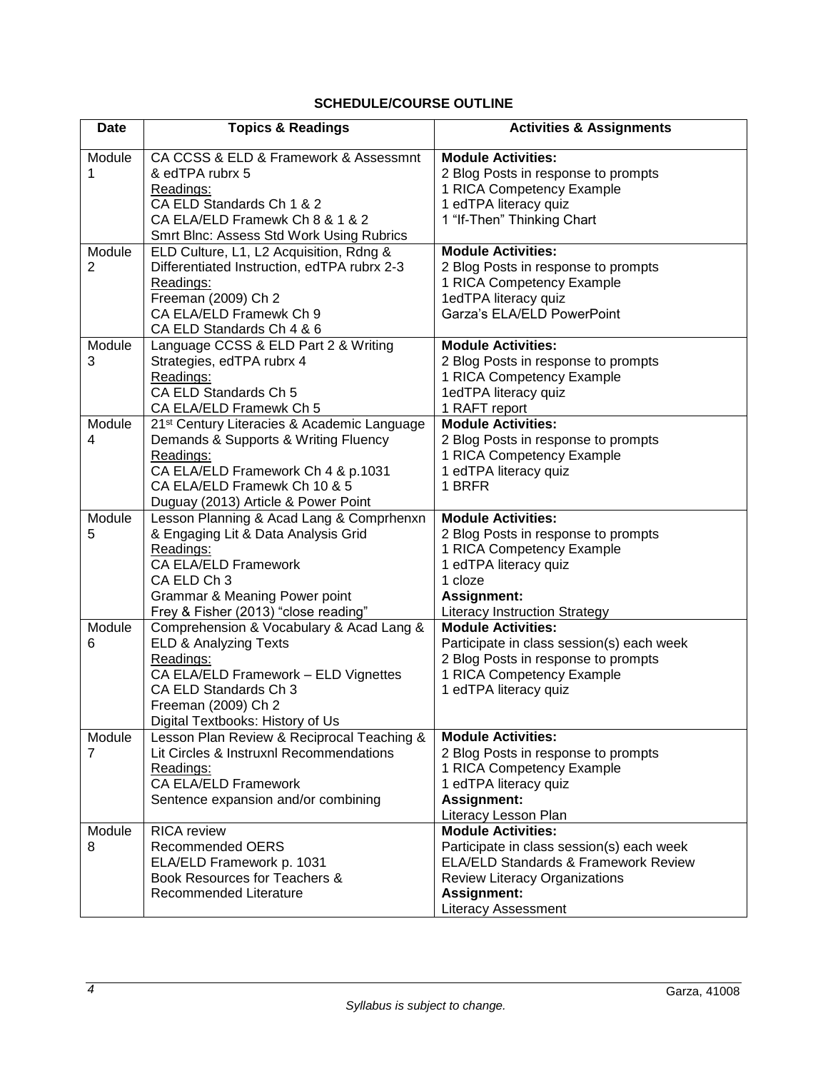# **SCHEDULE/COURSE OUTLINE**

<span id="page-5-0"></span>

| <b>Date</b> | <b>Topics &amp; Readings</b>                                                    | <b>Activities &amp; Assignments</b>                              |
|-------------|---------------------------------------------------------------------------------|------------------------------------------------------------------|
| Module<br>1 | CA CCSS & ELD & Framework & Assessmnt<br>& edTPA rubrx 5                        | <b>Module Activities:</b><br>2 Blog Posts in response to prompts |
|             | Readings:                                                                       | 1 RICA Competency Example                                        |
|             | CA ELD Standards Ch 1 & 2                                                       | 1 edTPA literacy quiz                                            |
|             | CA ELA/ELD Framewk Ch 8 & 1 & 2                                                 | 1 "If-Then" Thinking Chart                                       |
|             | Smrt Blnc: Assess Std Work Using Rubrics                                        |                                                                  |
| Module      | ELD Culture, L1, L2 Acquisition, Rdng &                                         | <b>Module Activities:</b>                                        |
| 2           | Differentiated Instruction, edTPA rubrx 2-3                                     | 2 Blog Posts in response to prompts                              |
|             | Readings:                                                                       | 1 RICA Competency Example                                        |
|             | Freeman (2009) Ch 2                                                             | 1edTPA literacy quiz                                             |
|             | CA ELA/ELD Framewk Ch 9                                                         | Garza's ELA/ELD PowerPoint                                       |
|             | CA ELD Standards Ch 4 & 6                                                       |                                                                  |
| Module      | Language CCSS & ELD Part 2 & Writing                                            | <b>Module Activities:</b>                                        |
| 3           | Strategies, edTPA rubrx 4                                                       | 2 Blog Posts in response to prompts                              |
|             | Readings:                                                                       | 1 RICA Competency Example                                        |
|             | CA ELD Standards Ch 5                                                           | 1edTPA literacy quiz                                             |
|             | CA ELA/ELD Framewk Ch 5                                                         | 1 RAFT report                                                    |
| Module      | 21 <sup>st</sup> Century Literacies & Academic Language                         | <b>Module Activities:</b>                                        |
| 4           | Demands & Supports & Writing Fluency                                            | 2 Blog Posts in response to prompts                              |
|             | Readings:                                                                       | 1 RICA Competency Example                                        |
|             | CA ELA/ELD Framework Ch 4 & p.1031<br>CA ELA/ELD Framewk Ch 10 & 5              | 1 edTPA literacy quiz<br>1 BRFR                                  |
|             |                                                                                 |                                                                  |
| Module      | Duguay (2013) Article & Power Point<br>Lesson Planning & Acad Lang & Comprhenxn | <b>Module Activities:</b>                                        |
| 5           | & Engaging Lit & Data Analysis Grid                                             | 2 Blog Posts in response to prompts                              |
|             | Readings:                                                                       | 1 RICA Competency Example                                        |
|             | <b>CA ELA/ELD Framework</b>                                                     | 1 edTPA literacy quiz                                            |
|             | CA ELD Ch 3                                                                     | 1 cloze                                                          |
|             | Grammar & Meaning Power point                                                   | Assignment:                                                      |
|             | Frey & Fisher (2013) "close reading"                                            | <b>Literacy Instruction Strategy</b>                             |
| Module      | Comprehension & Vocabulary & Acad Lang &                                        | <b>Module Activities:</b>                                        |
| 6           | <b>ELD &amp; Analyzing Texts</b>                                                | Participate in class session(s) each week                        |
|             | Readings:                                                                       | 2 Blog Posts in response to prompts                              |
|             | CA ELA/ELD Framework - ELD Vignettes                                            | 1 RICA Competency Example                                        |
|             | CA ELD Standards Ch 3                                                           | 1 edTPA literacy quiz                                            |
|             | Freeman (2009) Ch 2                                                             |                                                                  |
|             | Digital Textbooks: History of Us                                                |                                                                  |
| Module      | Lesson Plan Review & Reciprocal Teaching &                                      | <b>Module Activities:</b>                                        |
| 7           | Lit Circles & Instruxnl Recommendations                                         | 2 Blog Posts in response to prompts                              |
|             | Readings:                                                                       | 1 RICA Competency Example                                        |
|             | <b>CA ELA/ELD Framework</b>                                                     | 1 edTPA literacy quiz                                            |
|             | Sentence expansion and/or combining                                             | <b>Assignment:</b>                                               |
|             |                                                                                 | Literacy Lesson Plan                                             |
| Module      | <b>RICA</b> review                                                              | <b>Module Activities:</b>                                        |
| 8           | <b>Recommended OERS</b>                                                         | Participate in class session(s) each week                        |
|             | ELA/ELD Framework p. 1031                                                       | <b>ELA/ELD Standards &amp; Framework Review</b>                  |
|             | Book Resources for Teachers &                                                   | <b>Review Literacy Organizations</b>                             |
|             | Recommended Literature                                                          | <b>Assignment:</b>                                               |
|             |                                                                                 | Literacy Assessment                                              |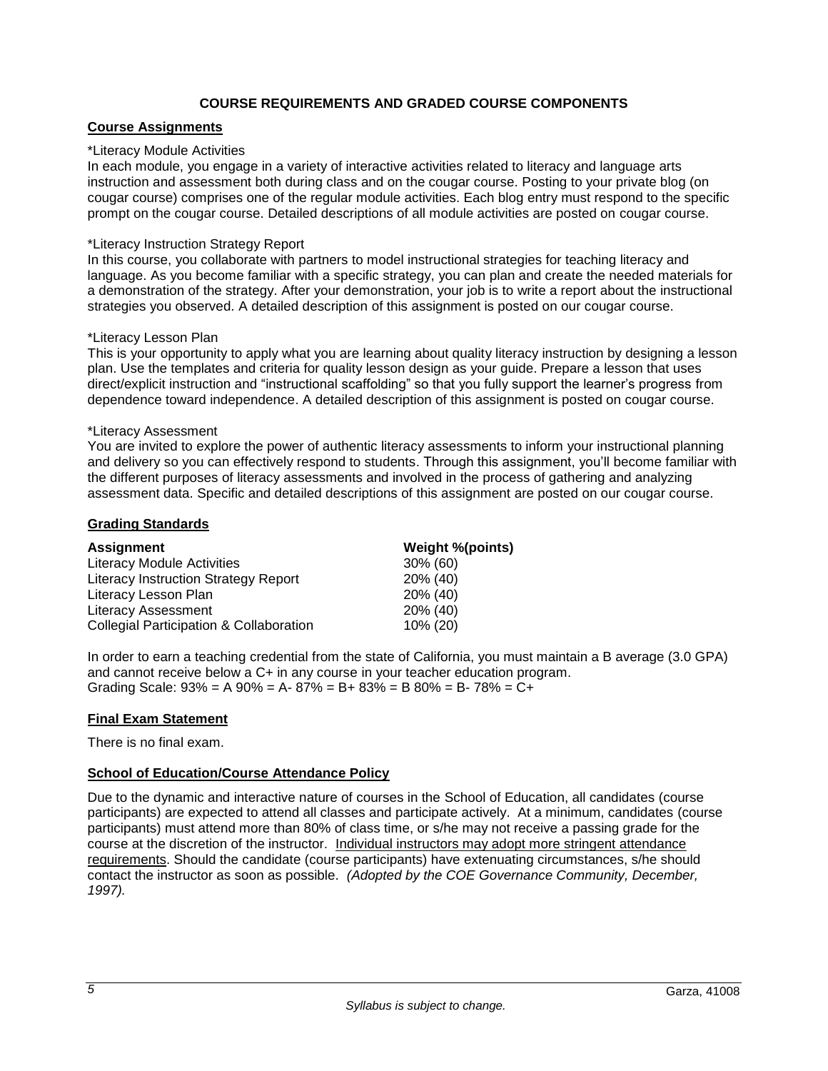# **COURSE REQUIREMENTS AND GRADED COURSE COMPONENTS**

# <span id="page-6-1"></span><span id="page-6-0"></span>**Course Assignments**

### \*Literacy Module Activities

In each module, you engage in a variety of interactive activities related to literacy and language arts instruction and assessment both during class and on the cougar course. Posting to your private blog (on cougar course) comprises one of the regular module activities. Each blog entry must respond to the specific prompt on the cougar course. Detailed descriptions of all module activities are posted on cougar course.

## \*Literacy Instruction Strategy Report

In this course, you collaborate with partners to model instructional strategies for teaching literacy and language. As you become familiar with a specific strategy, you can plan and create the needed materials for a demonstration of the strategy. After your demonstration, your job is to write a report about the instructional strategies you observed. A detailed description of this assignment is posted on our cougar course.

## \*Literacy Lesson Plan

This is your opportunity to apply what you are learning about quality literacy instruction by designing a lesson plan. Use the templates and criteria for quality lesson design as your guide. Prepare a lesson that uses direct/explicit instruction and "instructional scaffolding" so that you fully support the learner's progress from dependence toward independence. A detailed description of this assignment is posted on cougar course.

### \*Literacy Assessment

You are invited to explore the power of authentic literacy assessments to inform your instructional planning and delivery so you can effectively respond to students. Through this assignment, you'll become familiar with the different purposes of literacy assessments and involved in the process of gathering and analyzing assessment data. Specific and detailed descriptions of this assignment are posted on our cougar course.

## <span id="page-6-2"></span>**Grading Standards**

| <b>Assignment</b>                                  | Weight %(points) |
|----------------------------------------------------|------------------|
| <b>Literacy Module Activities</b>                  | $30\%$ (60)      |
| Literacy Instruction Strategy Report               | 20% (40)         |
| Literacy Lesson Plan                               | 20% (40)         |
| <b>Literacy Assessment</b>                         | 20% (40)         |
| <b>Collegial Participation &amp; Collaboration</b> | 10% (20)         |

In order to earn a teaching credential from the state of California, you must maintain a B average (3.0 GPA) and cannot receive below a C+ in any course in your teacher education program. Grading Scale:  $93\% = A\,90\% = A - 87\% = B + 83\% = B\,80\% = B - 78\% = C +$ 

# <span id="page-6-3"></span>**Final Exam Statement**

There is no final exam.

# <span id="page-6-4"></span>**School of Education/Course Attendance Policy**

Due to the dynamic and interactive nature of courses in the School of Education, all candidates (course participants) are expected to attend all classes and participate actively. At a minimum, candidates (course participants) must attend more than 80% of class time, or s/he may not receive a passing grade for the course at the discretion of the instructor. Individual instructors may adopt more stringent attendance requirements. Should the candidate (course participants) have extenuating circumstances, s/he should contact the instructor as soon as possible. *(Adopted by the COE Governance Community, December, 1997).*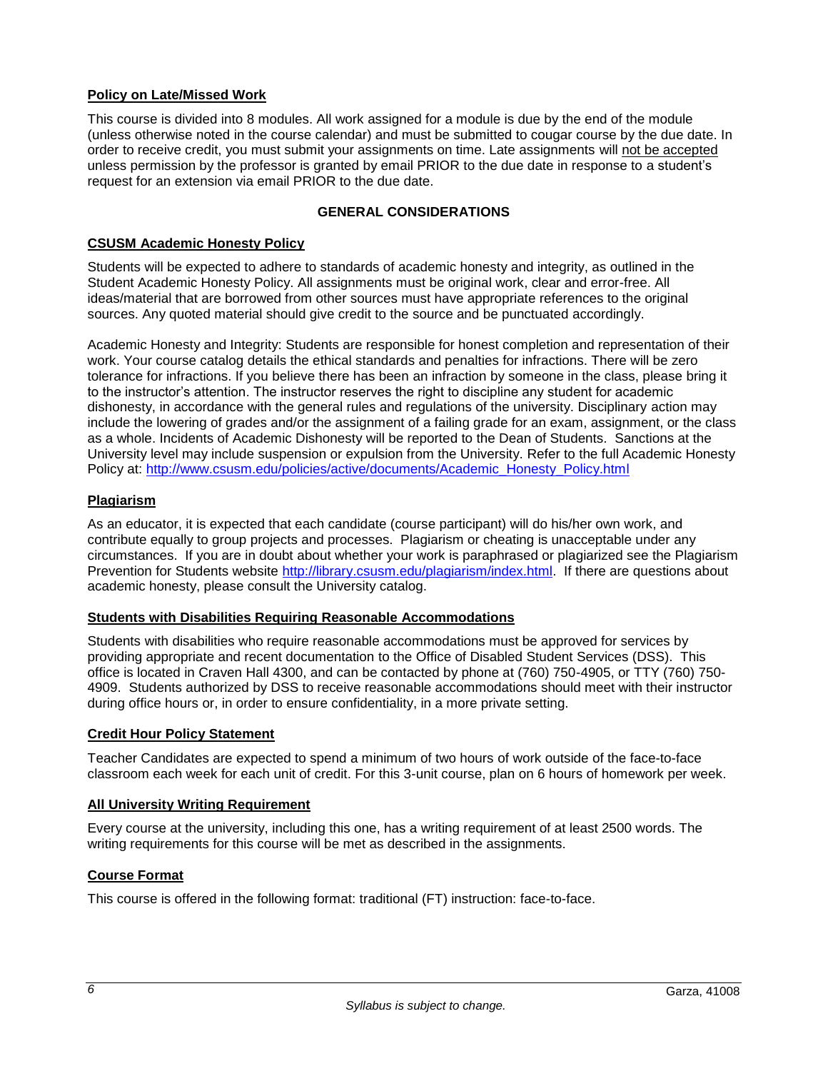# <span id="page-7-0"></span>**Policy on Late/Missed Work**

This course is divided into 8 modules. All work assigned for a module is due by the end of the module (unless otherwise noted in the course calendar) and must be submitted to cougar course by the due date. In order to receive credit, you must submit your assignments on time. Late assignments will not be accepted unless permission by the professor is granted by email PRIOR to the due date in response to a student's request for an extension via email PRIOR to the due date.

# **GENERAL CONSIDERATIONS**

## <span id="page-7-1"></span>**CSUSM Academic Honesty Policy**

Students will be expected to adhere to standards of academic honesty and integrity, as outlined in the Student Academic Honesty Policy. All assignments must be original work, clear and error-free. All ideas/material that are borrowed from other sources must have appropriate references to the original sources. Any quoted material should give credit to the source and be punctuated accordingly.

Academic Honesty and Integrity: Students are responsible for honest completion and representation of their work. Your course catalog details the ethical standards and penalties for infractions. There will be zero tolerance for infractions. If you believe there has been an infraction by someone in the class, please bring it to the instructor's attention. The instructor reserves the right to discipline any student for academic dishonesty, in accordance with the general rules and regulations of the university. Disciplinary action may include the lowering of grades and/or the assignment of a failing grade for an exam, assignment, or the class as a whole. Incidents of Academic Dishonesty will be reported to the Dean of Students. Sanctions at the University level may include suspension or expulsion from the University. Refer to the full Academic Honesty Policy at: [http://www.csusm.edu/policies/active/documents/Academic\\_Honesty\\_Policy.html](http://www.csusm.edu/policies/active/documents/Academic_Honesty_Policy.html)

## <span id="page-7-2"></span>**Plagiarism**

As an educator, it is expected that each candidate (course participant) will do his/her own work, and contribute equally to group projects and processes. Plagiarism or cheating is unacceptable under any circumstances. If you are in doubt about whether your work is paraphrased or plagiarized see the Plagiarism Prevention for Students website [http://library.csusm.edu/plagiarism/index.html.](http://library.csusm.edu/plagiarism/index.html) If there are questions about academic honesty, please consult the University catalog.

# <span id="page-7-3"></span>**Students with Disabilities Requiring Reasonable Accommodations**

Students with disabilities who require reasonable accommodations must be approved for services by providing appropriate and recent documentation to the Office of Disabled Student Services (DSS). This office is located in Craven Hall 4300, and can be contacted by phone at (760) 750-4905, or TTY (760) 750- 4909. Students authorized by DSS to receive reasonable accommodations should meet with their instructor during office hours or, in order to ensure confidentiality, in a more private setting.

### <span id="page-7-4"></span>**Credit Hour Policy Statement**

Teacher Candidates are expected to spend a minimum of two hours of work outside of the face-to-face classroom each week for each unit of credit. For this 3-unit course, plan on 6 hours of homework per week.

### <span id="page-7-5"></span>**All University Writing Requirement**

Every course at the university, including this one, has a writing requirement of at least 2500 words. The writing requirements for this course will be met as described in the assignments.

### <span id="page-7-6"></span>**Course Format**

This course is offered in the following format: traditional (FT) instruction: face-to-face.